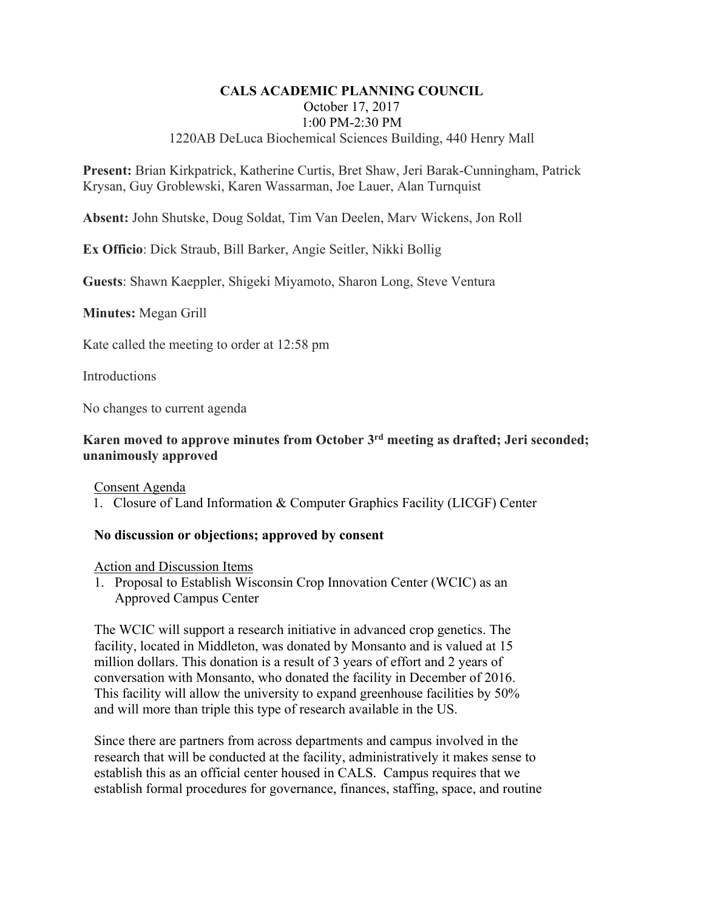## **CALS ACADEMIC PLANNING COUNCIL**  October 17, 2017 1:00 PM-2:30 PM 1220AB DeLuca Biochemical Sciences Building, 440 Henry Mall

**Present:** Brian Kirkpatrick, Katherine Curtis, Bret Shaw, Jeri Barak-Cunningham, Patrick Krysan, Guy Groblewski, Karen Wassarman, Joe Lauer, Alan Turnquist

**Absent:** John Shutske, Doug Soldat, Tim Van Deelen, Marv Wickens, Jon Roll

**Ex Officio**: Dick Straub, Bill Barker, Angie Seitler, Nikki Bollig

**Guests**: Shawn Kaeppler, Shigeki Miyamoto, Sharon Long, Steve Ventura

**Minutes:** Megan Grill

Kate called the meeting to order at 12:58 pm

**Introductions** 

No changes to current agenda

## **Karen moved to approve minutes from October 3rd meeting as drafted; Jeri seconded; unanimously approved**

Consent Agenda

1. Closure of Land Information & Computer Graphics Facility (LICGF) Center

### **No discussion or objections; approved by consent**

Action and Discussion Items

1. Proposal to Establish Wisconsin Crop Innovation Center (WCIC) as an Approved Campus Center

The WCIC will support a research initiative in advanced crop genetics. The facility, located in Middleton, was donated by Monsanto and is valued at 15 million dollars. This donation is a result of 3 years of effort and 2 years of conversation with Monsanto, who donated the facility in December of 2016. This facility will allow the university to expand greenhouse facilities by 50% and will more than triple this type of research available in the US.

Since there are partners from across departments and campus involved in the research that will be conducted at the facility, administratively it makes sense to establish this as an official center housed in CALS. Campus requires that we establish formal procedures for governance, finances, staffing, space, and routine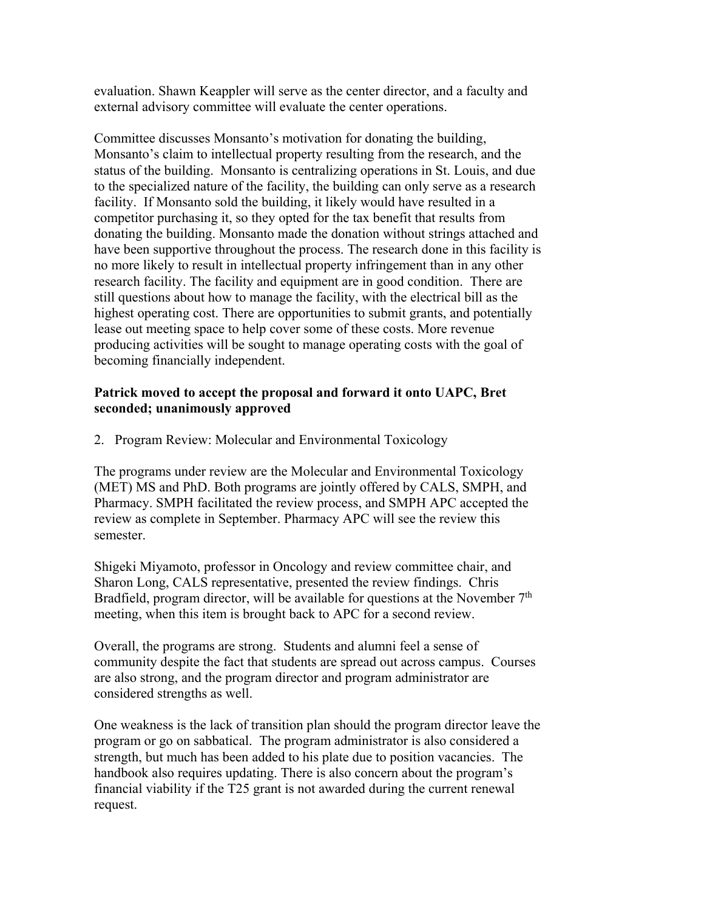evaluation. Shawn Keappler will serve as the center director, and a faculty and external advisory committee will evaluate the center operations.

Committee discusses Monsanto's motivation for donating the building, Monsanto's claim to intellectual property resulting from the research, and the status of the building. Monsanto is centralizing operations in St. Louis, and due to the specialized nature of the facility, the building can only serve as a research facility. If Monsanto sold the building, it likely would have resulted in a competitor purchasing it, so they opted for the tax benefit that results from donating the building. Monsanto made the donation without strings attached and have been supportive throughout the process. The research done in this facility is no more likely to result in intellectual property infringement than in any other research facility. The facility and equipment are in good condition. There are still questions about how to manage the facility, with the electrical bill as the highest operating cost. There are opportunities to submit grants, and potentially lease out meeting space to help cover some of these costs. More revenue producing activities will be sought to manage operating costs with the goal of becoming financially independent.

# **Patrick moved to accept the proposal and forward it onto UAPC, Bret seconded; unanimously approved**

2. Program Review: Molecular and Environmental Toxicology

The programs under review are the Molecular and Environmental Toxicology (MET) MS and PhD. Both programs are jointly offered by CALS, SMPH, and Pharmacy. SMPH facilitated the review process, and SMPH APC accepted the review as complete in September. Pharmacy APC will see the review this semester.

Shigeki Miyamoto, professor in Oncology and review committee chair, and Sharon Long, CALS representative, presented the review findings. Chris Bradfield, program director, will be available for questions at the November  $7<sup>th</sup>$ meeting, when this item is brought back to APC for a second review.

Overall, the programs are strong. Students and alumni feel a sense of community despite the fact that students are spread out across campus. Courses are also strong, and the program director and program administrator are considered strengths as well.

One weakness is the lack of transition plan should the program director leave the program or go on sabbatical. The program administrator is also considered a strength, but much has been added to his plate due to position vacancies. The handbook also requires updating. There is also concern about the program's financial viability if the T25 grant is not awarded during the current renewal request.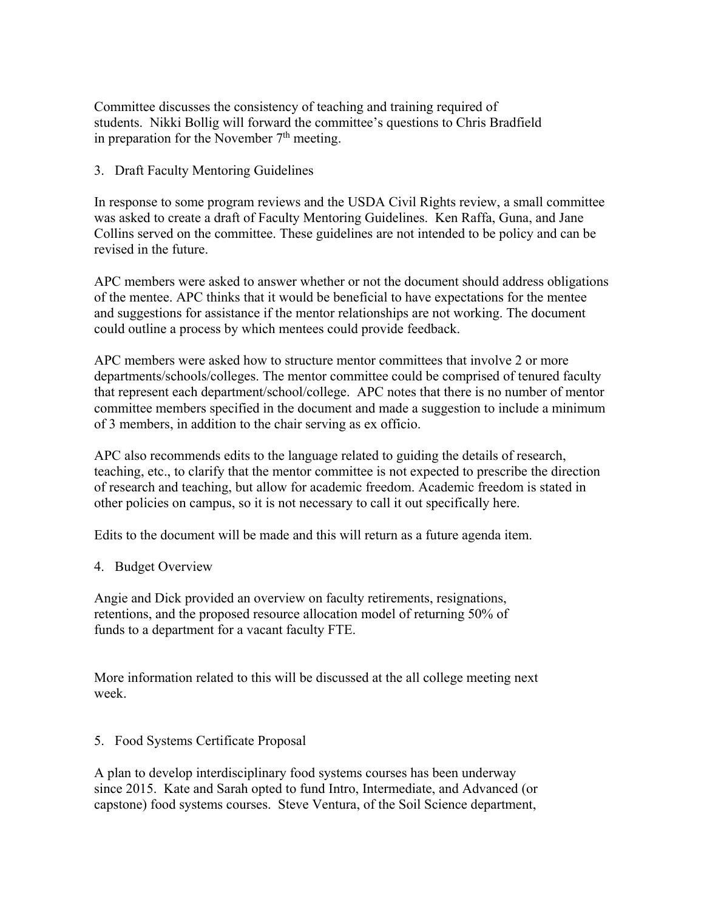Committee discusses the consistency of teaching and training required of students. Nikki Bollig will forward the committee's questions to Chris Bradfield in preparation for the November  $7<sup>th</sup>$  meeting.

## 3. Draft Faculty Mentoring Guidelines

In response to some program reviews and the USDA Civil Rights review, a small committee was asked to create a draft of Faculty Mentoring Guidelines. Ken Raffa, Guna, and Jane Collins served on the committee. These guidelines are not intended to be policy and can be revised in the future.

APC members were asked to answer whether or not the document should address obligations of the mentee. APC thinks that it would be beneficial to have expectations for the mentee and suggestions for assistance if the mentor relationships are not working. The document could outline a process by which mentees could provide feedback.

APC members were asked how to structure mentor committees that involve 2 or more departments/schools/colleges. The mentor committee could be comprised of tenured faculty that represent each department/school/college. APC notes that there is no number of mentor committee members specified in the document and made a suggestion to include a minimum of 3 members, in addition to the chair serving as ex officio.

APC also recommends edits to the language related to guiding the details of research, teaching, etc., to clarify that the mentor committee is not expected to prescribe the direction of research and teaching, but allow for academic freedom. Academic freedom is stated in other policies on campus, so it is not necessary to call it out specifically here.

Edits to the document will be made and this will return as a future agenda item.

### 4. Budget Overview

Angie and Dick provided an overview on faculty retirements, resignations, retentions, and the proposed resource allocation model of returning 50% of funds to a department for a vacant faculty FTE.

More information related to this will be discussed at the all college meeting next week.

### 5. Food Systems Certificate Proposal

A plan to develop interdisciplinary food systems courses has been underway since 2015. Kate and Sarah opted to fund Intro, Intermediate, and Advanced (or capstone) food systems courses. Steve Ventura, of the Soil Science department,